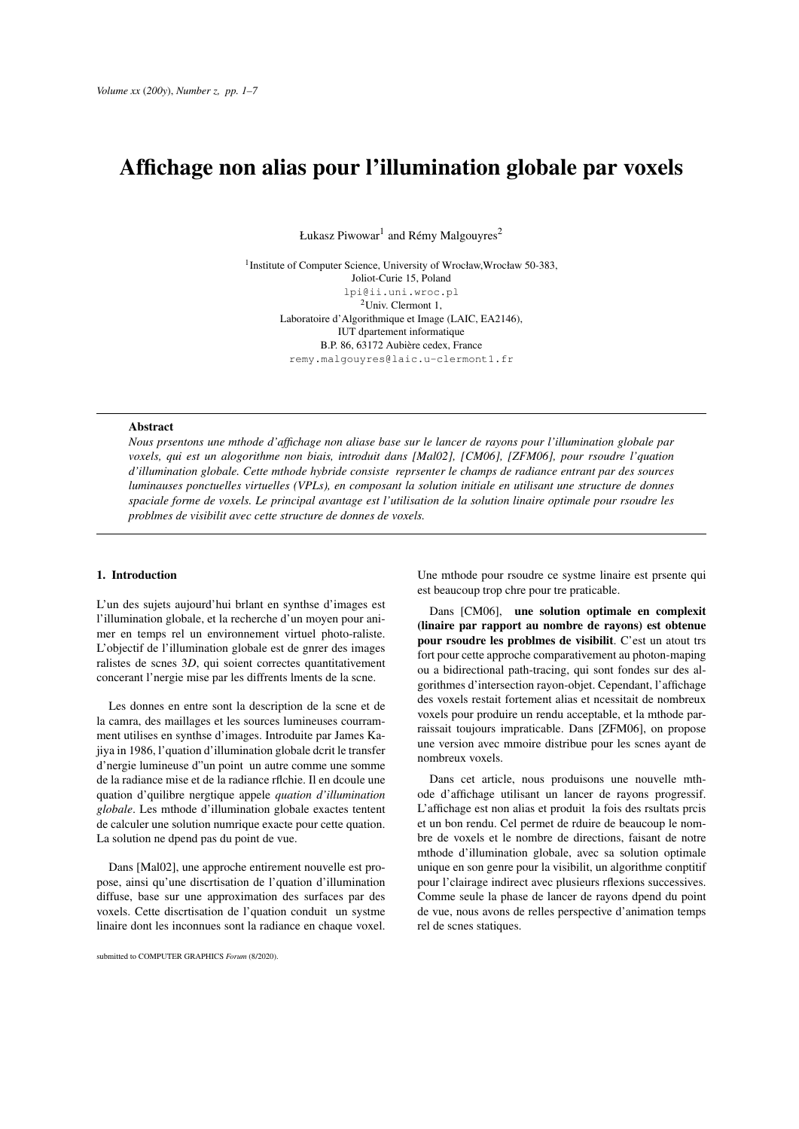# Affichage non alias pour l'illumination globale par voxels

Łukasz Piwowar $^{\rm l}$  and Rémy Malgouyres $^{\rm 2}$ 

<sup>1</sup> Institute of Computer Science, University of Wrocław, Wrocław 50-383, Joliot-Curie 15, Poland lpi@ii.uni.wroc.pl <sup>2</sup>Univ. Clermont 1, Laboratoire d'Algorithmique et Image (LAIC, EA2146), IUT dpartement informatique B.P. 86, 63172 Aubière cedex, France remy.malgouyres@laic.u-clermont1.fr

#### Abstract

*Nous prsentons une mthode d'affichage non aliase base sur le lancer de rayons pour l'illumination globale par voxels, qui est un alogorithme non biais, introduit dans [Mal02], [CM06], [ZFM06], pour rsoudre l'quation d'illumination globale. Cette mthode hybride consiste reprsenter le champs de radiance entrant par des sources luminauses ponctuelles virtuelles (VPLs), en composant la solution initiale en utilisant une structure de donnes spaciale forme de voxels. Le principal avantage est l'utilisation de la solution linaire optimale pour rsoudre les problmes de visibilit avec cette structure de donnes de voxels.*

### 1. Introduction

L'un des sujets aujourd'hui brlant en synthse d'images est l'illumination globale, et la recherche d'un moyen pour animer en temps rel un environnement virtuel photo-raliste. L'objectif de l'illumination globale est de gnrer des images ralistes de scnes 3*D*, qui soient correctes quantitativement concerant l'nergie mise par les diffrents lments de la scne.

Les donnes en entre sont la description de la scne et de la camra, des maillages et les sources lumineuses courramment utilises en synthse d'images. Introduite par James Kajiya in 1986, l'quation d'illumination globale dcrit le transfer d'nergie lumineuse d"un point un autre comme une somme de la radiance mise et de la radiance rflchie. Il en dcoule une quation d'quilibre nergtique appele *quation d'illumination globale*. Les mthode d'illumination globale exactes tentent de calculer une solution numrique exacte pour cette quation. La solution ne dpend pas du point de vue.

Dans [Mal02], une approche entirement nouvelle est propose, ainsi qu'une discrtisation de l'quation d'illumination diffuse, base sur une approximation des surfaces par des voxels. Cette discrtisation de l'quation conduit un systme linaire dont les inconnues sont la radiance en chaque voxel.

submitted to COMPUTER GRAPHICS *Forum* (8/2020).

Une mthode pour rsoudre ce systme linaire est prsente qui est beaucoup trop chre pour tre praticable.

Dans [CM06], une solution optimale en complexit (linaire par rapport au nombre de rayons) est obtenue pour rsoudre les problmes de visibilit. C'est un atout trs fort pour cette approche comparativement au photon-maping ou a bidirectional path-tracing, qui sont fondes sur des algorithmes d'intersection rayon-objet. Cependant, l'affichage des voxels restait fortement alias et ncessitait de nombreux voxels pour produire un rendu acceptable, et la mthode parraissait toujours impraticable. Dans [ZFM06], on propose une version avec mmoire distribue pour les scnes ayant de nombreux voxels.

Dans cet article, nous produisons une nouvelle mthode d'affichage utilisant un lancer de rayons progressif. L'affichage est non alias et produit la fois des rsultats prcis et un bon rendu. Cel permet de rduire de beaucoup le nombre de voxels et le nombre de directions, faisant de notre mthode d'illumination globale, avec sa solution optimale unique en son genre pour la visibilit, un algorithme conptitif pour l'clairage indirect avec plusieurs rflexions successives. Comme seule la phase de lancer de rayons dpend du point de vue, nous avons de relles perspective d'animation temps rel de scnes statiques.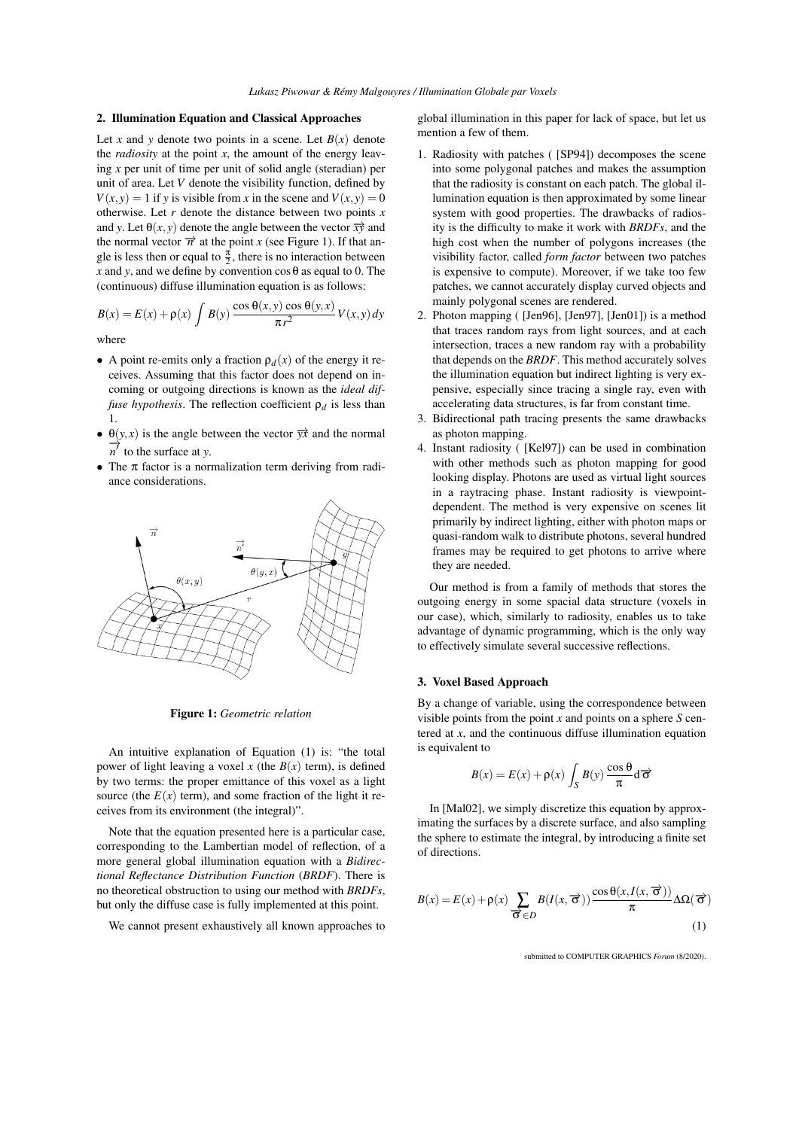## 2. Illumination Equation and Classical Approaches

Let *x* and *y* denote two points in a scene. Let  $B(x)$  denote the *radiosity* at the point  $x$ , the amount of the energy leaving *x* per unit of time per unit of solid angle (steradian) per unit of area. Let *V* denote the visibility function, defined by  $V(x, y) = 1$  if *y* is visible from *x* in the scene and  $V(x, y) = 0$ otherwise. Let *r* denote the distance between two points *x* and *y*. Let  $\theta(x, y)$  denote the angle between the vector  $\overrightarrow{xy}$  and the normal vector  $\vec{n}$  at the point *x* (see Figure 1). If that angle is less then or equal to  $\frac{\pi}{2}$ , there is no interaction between *x* and *y*, and we define by convention  $\cos \theta$  as equal to 0. The (continuous) diffuse illumination equation is as follows:

$$
B(x) = E(x) + \rho(x) \int B(y) \frac{\cos \theta(x, y) \cos \theta(y, x)}{\pi r^2} V(x, y) dy
$$

where

- A point re-emits only a fraction  $\rho_d(x)$  of the energy it receives. Assuming that this factor does not depend on incoming or outgoing directions is known as the *ideal diffuse hypothesis*. The reflection coefficient  $\rho_d$  is less than 1.
- $\theta(y, x)$  is the angle between the vector  $\overrightarrow{yx}$  and the normal  $\overrightarrow{n'}$  to the surface at *y*.
- *•* The π factor is a normalization term deriving from radiance considerations.



Figure 1: *Geometric relation*

An intuitive explanation of Equation (1) is: "the total power of light leaving a voxel x (the  $B(x)$  term), is defined by two terms: the proper emittance of this voxel as a light source (the  $E(x)$  term), and some fraction of the light it receives from its environment (the integral)".

Note that the equation presented here is a particular case, corresponding to the Lambertian model of reflection, of a more general global illumination equation with a *Bidirectional Reflectance Distribution Function* (*BRDF*). There is no theoretical obstruction to using our method with *BRDFs*, but only the diffuse case is fully implemented at this point.

We cannot present exhaustively all known approaches to

global illumination in this paper for lack of space, but let us mention a few of them.

- 1. Radiosity with patches ( [SP94]) decomposes the scene into some polygonal patches and makes the assumption that the radiosity is constant on each patch. The global illumination equation is then approximated by some linear system with good properties. The drawbacks of radiosity is the difficulty to make it work with *BRDFs*, and the high cost when the number of polygons increases (the visibility factor, called *form factor* between two patches is expensive to compute). Moreover, if we take too few patches, we cannot accurately display curved objects and mainly polygonal scenes are rendered.
- 2. Photon mapping ( [Jen96], [Jen97], [Jen01]) is a method that traces random rays from light sources, and at each intersection, traces a new random ray with a probability that depends on the *BRDF*. This method accurately solves the illumination equation but indirect lighting is very expensive, especially since tracing a single ray, even with accelerating data structures, is far from constant time.
- 3. Bidirectional path tracing presents the same drawbacks as photon mapping.
- 4. Instant radiosity ( [Kel97]) can be used in combination with other methods such as photon mapping for good looking display. Photons are used as virtual light sources in a raytracing phase. Instant radiosity is viewpointdependent. The method is very expensive on scenes lit primarily by indirect lighting, either with photon maps or quasi-random walk to distribute photons, several hundred frames may be required to get photons to arrive where they are needed.

Our method is from a family of methods that stores the outgoing energy in some spacial data structure (voxels in our case), which, similarly to radiosity, enables us to take advantage of dynamic programming, which is the only way to effectively simulate several successive reflections.

## 3. Voxel Based Approach

By a change of variable, using the correspondence between visible points from the point *x* and points on a sphere *S* centered at *x*, and the continuous diffuse illumination equation is equivalent to

$$
B(x) = E(x) + \rho(x) \int_{S} B(y) \frac{\cos \theta}{\pi} d\vec{\sigma}
$$

In [Mal02], we simply discretize this equation by approximating the surfaces by a discrete surface, and also sampling the sphere to estimate the integral, by introducing a finite set of directions.

$$
B(x) = E(x) + \rho(x) \sum_{\overrightarrow{\mathbf{O}} \in D} B(I(x, \overrightarrow{\mathbf{O}})) \frac{\cos \theta(x, I(x, \overrightarrow{\mathbf{O}}))}{\pi} \Delta\Omega(\overrightarrow{\mathbf{O}})
$$
\n(1)

submitted to COMPUTER GRAPHICS *Forum* (8/2020).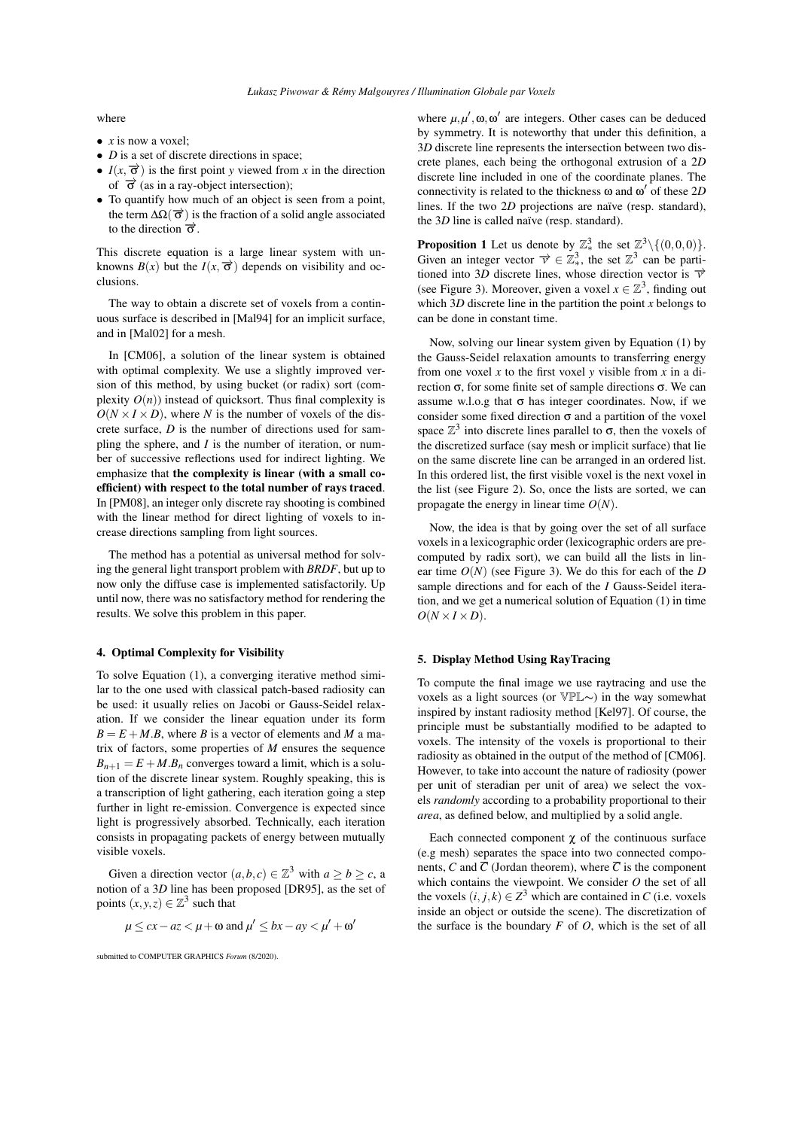where

- *• x* is now a voxel;
- *D* is a set of discrete directions in space;
- $I(x, \vec{\sigma})$  is the first point *y* viewed from *x* in the direction of *−→*σ (as in a ray-object intersection);
- *•* To quantify how much of an object is seen from a point, the term  $\Delta\Omega(\vec{\sigma})$  is the fraction of a solid angle associated to the direction  $\vec{\sigma}$ .

This discrete equation is a large linear system with unknowns  $B(x)$  but the  $I(x, \vec{\sigma})$  depends on visibility and occlusions.

The way to obtain a discrete set of voxels from a continuous surface is described in [Mal94] for an implicit surface, and in [Mal02] for a mesh.

In [CM06], a solution of the linear system is obtained with optimal complexity. We use a slightly improved version of this method, by using bucket (or radix) sort (complexity  $O(n)$ ) instead of quicksort. Thus final complexity is  $O(N \times I \times D)$ , where *N* is the number of voxels of the discrete surface, *D* is the number of directions used for sampling the sphere, and *I* is the number of iteration, or number of successive reflections used for indirect lighting. We emphasize that the complexity is linear (with a small coefficient) with respect to the total number of rays traced. In [PM08], an integer only discrete ray shooting is combined with the linear method for direct lighting of voxels to increase directions sampling from light sources.

The method has a potential as universal method for solving the general light transport problem with *BRDF*, but up to now only the diffuse case is implemented satisfactorily. Up until now, there was no satisfactory method for rendering the results. We solve this problem in this paper.

## 4. Optimal Complexity for Visibility

To solve Equation (1), a converging iterative method similar to the one used with classical patch-based radiosity can be used: it usually relies on Jacobi or Gauss-Seidel relaxation. If we consider the linear equation under its form  $B = E + M.B$ , where *B* is a vector of elements and *M* a matrix of factors, some properties of *M* ensures the sequence  $B_{n+1} = E + M.B_n$  converges toward a limit, which is a solution of the discrete linear system. Roughly speaking, this is a transcription of light gathering, each iteration going a step further in light re-emission. Convergence is expected since light is progressively absorbed. Technically, each iteration consists in propagating packets of energy between mutually visible voxels.

Given a direction vector  $(a, b, c) \in \mathbb{Z}^3$  with  $a \ge b \ge c$ , a notion of a 3*D* line has been proposed [DR95], as the set of points  $(x, y, z) \in \mathbb{Z}^3$  such that

$$
\mu \le cx - az < \mu + \omega \text{ and } \mu' \le bx - ay < \mu' + \omega'
$$

submitted to COMPUTER GRAPHICS *Forum* (8/2020).

where  $\mu, \mu', \omega, \omega'$  are integers. Other cases can be deduced by symmetry. It is noteworthy that under this definition, a 3*D* discrete line represents the intersection between two discrete planes, each being the orthogonal extrusion of a 2*D* discrete line included in one of the coordinate planes. The connectivity is related to the thickness ω and ω *′* of these 2*D* lines. If the two 2*D* projections are naïve (resp. standard), the 3*D* line is called naïve (resp. standard).

**Proposition 1** Let us denote by  $\mathbb{Z}_{*}^{3}$  the set  $\mathbb{Z}^{3}\setminus\{(0,0,0)\}$ . Given an integer vector  $\vec{v} \in \mathbb{Z}_{*}^{3}$ , the set  $\mathbb{Z}^{3}$  can be partitioned into 3*D* discrete lines, whose direction vector is  $\vec{v}$ (see Figure 3). Moreover, given a voxel  $x \in \mathbb{Z}^3$ , finding out which 3*D* discrete line in the partition the point *x* belongs to can be done in constant time.

Now, solving our linear system given by Equation (1) by the Gauss-Seidel relaxation amounts to transferring energy from one voxel *x* to the first voxel *y* visible from *x* in a direction σ, for some finite set of sample directions σ. We can assume w.l.o.g that  $\sigma$  has integer coordinates. Now, if we consider some fixed direction  $\sigma$  and a partition of the voxel space  $\mathbb{Z}^3$  into discrete lines parallel to  $\sigma$ , then the voxels of the discretized surface (say mesh or implicit surface) that lie on the same discrete line can be arranged in an ordered list. In this ordered list, the first visible voxel is the next voxel in the list (see Figure 2). So, once the lists are sorted, we can propagate the energy in linear time *O*(*N*).

Now, the idea is that by going over the set of all surface voxels in a lexicographic order (lexicographic orders are precomputed by radix sort), we can build all the lists in linear time *O*(*N*) (see Figure 3). We do this for each of the *D* sample directions and for each of the *I* Gauss-Seidel iteration, and we get a numerical solution of Equation (1) in time  $O(N \times I \times D)$ .

# 5. Display Method Using RayTracing

To compute the final image we use raytracing and use the voxels as a light sources (or VPL∼) in the way somewhat inspired by instant radiosity method [Kel97]. Of course, the principle must be substantially modified to be adapted to voxels. The intensity of the voxels is proportional to their radiosity as obtained in the output of the method of [CM06]. However, to take into account the nature of radiosity (power per unit of steradian per unit of area) we select the voxels *randomly* according to a probability proportional to their *area*, as defined below, and multiplied by a solid angle.

Each connected component  $\chi$  of the continuous surface (e.g mesh) separates the space into two connected components, *C* and  $\overline{C}$  (Jordan theorem), where  $\overline{C}$  is the component which contains the viewpoint. We consider *O* the set of all the voxels  $(i, j, k) \in \mathbb{Z}^3$  which are contained in *C* (i.e. voxels inside an object or outside the scene). The discretization of the surface is the boundary *F* of *O*, which is the set of all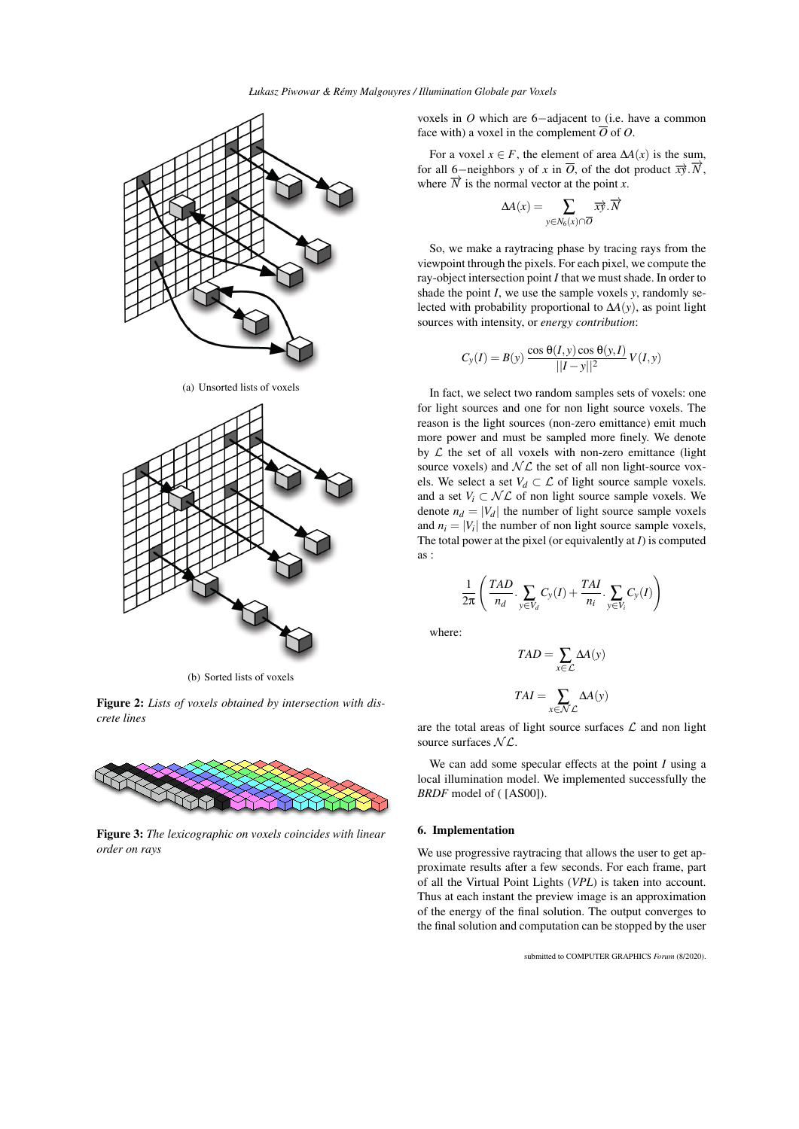

(a) Unsorted lists of voxels



(b) Sorted lists of voxels

Figure 2: *Lists of voxels obtained by intersection with discrete lines*



Figure 3: *The lexicographic on voxels coincides with linear order on rays*

voxels in *O* which are 6*−*adjacent to (i.e. have a common face with) a voxel in the complement  $\overline{O}$  of  $O$ .

For a voxel  $x \in F$ , the element of area  $\Delta A(x)$  is the sum, for all 6–neighbors *y* of *x* in  $\overline{O}$ , of the dot product  $\overrightarrow{xy}$ .  $\overrightarrow{N}$ , where  $\overrightarrow{N}$  is the normal vector at the point *x*.

$$
\Delta A(x) = \sum_{y \in N_6(x) \cap \overline{O}} \overrightarrow{xy}.\overrightarrow{N}
$$

So, we make a raytracing phase by tracing rays from the viewpoint through the pixels. For each pixel, we compute the ray-object intersection point *I* that we must shade. In order to shade the point *I*, we use the sample voxels *y*, randomly selected with probability proportional to ∆*A*(*y*), as point light sources with intensity, or *energy contribution*:

$$
C_y(I) = B(y) \frac{\cos \theta(I, y) \cos \theta(y, I)}{\vert I - y \vert\vert^2} V(I, y)
$$

In fact, we select two random samples sets of voxels: one for light sources and one for non light source voxels. The reason is the light sources (non-zero emittance) emit much more power and must be sampled more finely. We denote by  $L$  the set of all voxels with non-zero emittance (light source voxels) and  $N\mathcal{L}$  the set of all non light-source voxels. We select a set  $V_d \subset \mathcal{L}$  of light source sample voxels. and a set  $V_i \subset \mathcal{NL}$  of non light source sample voxels. We denote  $n_d = |V_d|$  the number of light source sample voxels and  $n_i = |V_i|$  the number of non light source sample voxels, The total power at the pixel (or equivalently at *I*) is computed as :

$$
\frac{1}{2\pi} \left( \frac{TAD}{n_d} \cdot \sum_{y \in V_d} C_y(I) + \frac{TAI}{n_i} \cdot \sum_{y \in V_i} C_y(I) \right)
$$

where:

$$
TAD = \sum_{x \in \mathcal{L}} \Delta A(y)
$$

$$
TAI = \sum_{x \in \mathcal{N}\mathcal{L}} \Delta A(y)
$$

are the total areas of light source surfaces *L* and non light source surfaces *N L*.

We can add some specular effects at the point *I* using a local illumination model. We implemented successfully the *BRDF* model of ( [AS00]).

## 6. Implementation

We use progressive raytracing that allows the user to get approximate results after a few seconds. For each frame, part of all the Virtual Point Lights (*VPL*) is taken into account. Thus at each instant the preview image is an approximation of the energy of the final solution. The output converges to the final solution and computation can be stopped by the user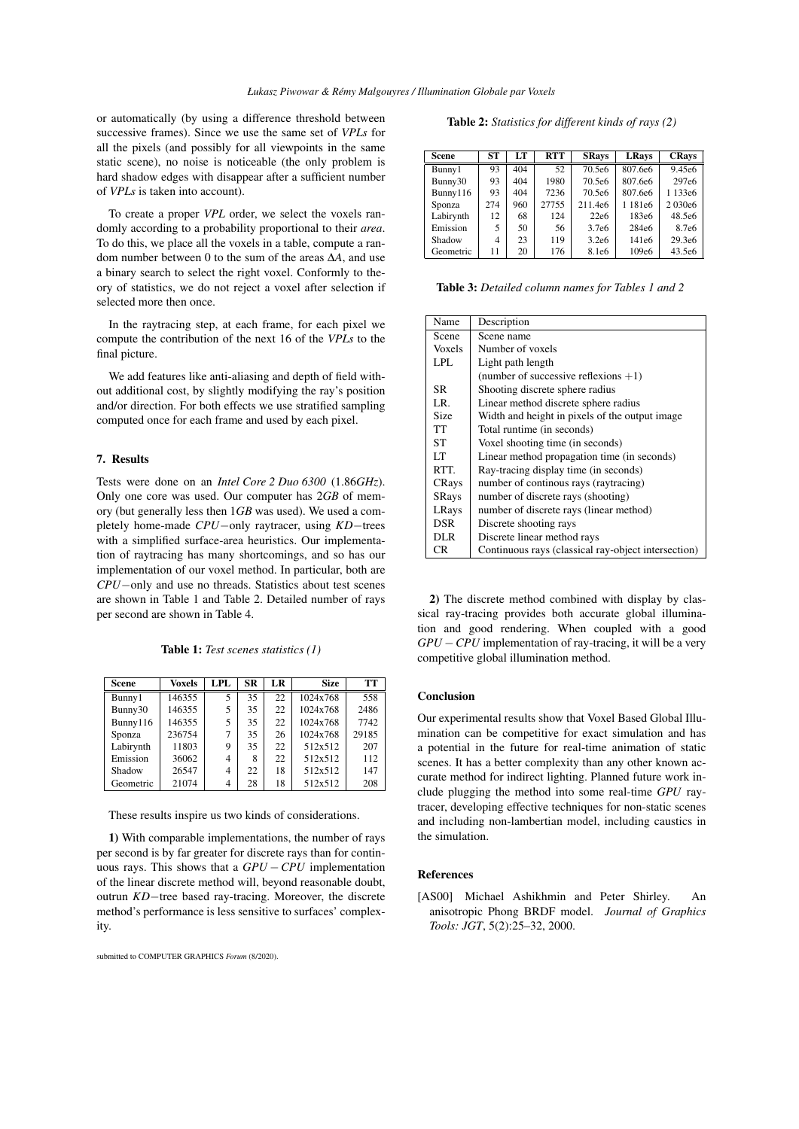or automatically (by using a difference threshold between successive frames). Since we use the same set of *VPLs* for all the pixels (and possibly for all viewpoints in the same static scene), no noise is noticeable (the only problem is hard shadow edges with disappear after a sufficient number of *VPLs* is taken into account).

To create a proper *VPL* order, we select the voxels randomly according to a probability proportional to their *area*. To do this, we place all the voxels in a table, compute a random number between 0 to the sum of the areas ∆*A*, and use a binary search to select the right voxel. Conformly to theory of statistics, we do not reject a voxel after selection if selected more then once.

In the raytracing step, at each frame, for each pixel we compute the contribution of the next 16 of the *VPLs* to the final picture.

We add features like anti-aliasing and depth of field without additional cost, by slightly modifying the ray's position and/or direction. For both effects we use stratified sampling computed once for each frame and used by each pixel.

# 7. Results

Tests were done on an *Intel Core 2 Duo 6300* (1.86*GHz*). Only one core was used. Our computer has 2*GB* of memory (but generally less then 1*GB* was used). We used a completely home-made *CPU−*only raytracer, using *KD−*trees with a simplified surface-area heuristics. Our implementation of raytracing has many shortcomings, and so has our implementation of our voxel method. In particular, both are *CPU−*only and use no threads. Statistics about test scenes are shown in Table 1 and Table 2. Detailed number of rays per second are shown in Table 4.

Table 1: *Test scenes statistics (1)*

| <b>Scene</b> | <b>Voxels</b> | LPL | <b>SR</b> | LR | <b>Size</b> | TТ    |
|--------------|---------------|-----|-----------|----|-------------|-------|
| Bunny1       | 146355        | 5   | 35        | 22 | 1024x768    | 558   |
| Bunny30      | 146355        | 5   | 35        | 22 | 1024x768    | 2486  |
| Bunny116     | 146355        | 5   | 35        | 22 | 1024x768    | 7742  |
| Sponza       | 236754        | 7   | 35        | 26 | 1024x768    | 29185 |
| Labirynth    | 11803         | 9   | 35        | 22 | 512x512     | 207   |
| Emission     | 36062         | 4   | 8         | 22 | 512x512     | 112   |
| Shadow       | 26547         | 4   | 22        | 18 | 512x512     | 147   |
| Geometric    | 21074         | 4   | 28        | 18 | 512x512     | 208   |

These results inspire us two kinds of considerations.

1) With comparable implementations, the number of rays per second is by far greater for discrete rays than for continuous rays. This shows that a *GPU −CPU* implementation of the linear discrete method will, beyond reasonable doubt, outrun *KD−*tree based ray-tracing. Moreover, the discrete method's performance is less sensitive to surfaces' complexity.

submitted to COMPUTER GRAPHICS *Forum* (8/2020).

Table 2: *Statistics for different kinds of rays (2)*

| <b>Scene</b> | <b>ST</b> | LТ  | <b>RTT</b> | <b>SRays</b>      | <b>LRays</b>      | <b>CRays</b>       |
|--------------|-----------|-----|------------|-------------------|-------------------|--------------------|
| Bunny1       | 93        | 404 | 52         | 70.5e6            | 807.6e6           | 9.45e <sub>6</sub> |
| Bunny30      | 93        | 404 | 1980       | 70.5e6            | 807.6e6           | 297e <sub>6</sub>  |
| Bunny116     | 93        | 404 | 7236       | 70.5e6            | 807.6e6           | 1 133e6            |
| Sponza       | 274       | 960 | 27755      | 211.4e6           | 1 181e6           | 2030e6             |
| Labirynth    | 12        | 68  | 124        | 22e6              | 183e6             | 48.5e6             |
| Emission     | 5         | 50  | 56         | 3.7e <sub>6</sub> | 284e <sub>6</sub> | 8.7e <sub>6</sub>  |
| Shadow       | 4         | 23  | 119        | 3.2e6             | 141e6             | 29.3e6             |
| Geometric    | 11        | 20  | 176        | 8.1e6             | 109e6             | 43.5e6             |

Table 3: *Detailed column names for Tables 1 and 2*

| Name          | Description                                         |  |  |  |
|---------------|-----------------------------------------------------|--|--|--|
| Scene         | Scene name                                          |  |  |  |
| <b>Voxels</b> | Number of voxels                                    |  |  |  |
| LPL.          | Light path length                                   |  |  |  |
|               | (number of successive reflexions $+1$ )             |  |  |  |
| SR.           | Shooting discrete sphere radius                     |  |  |  |
| LR.           | Linear method discrete sphere radius                |  |  |  |
| Size          | Width and height in pixels of the output image.     |  |  |  |
| TT            | Total runtime (in seconds)                          |  |  |  |
| <b>ST</b>     | Voxel shooting time (in seconds)                    |  |  |  |
| LТ            | Linear method propagation time (in seconds)         |  |  |  |
| RTT.          | Ray-tracing display time (in seconds)               |  |  |  |
| CRays         | number of continous rays (raytracing)               |  |  |  |
| <b>SRays</b>  | number of discrete rays (shooting)                  |  |  |  |
| LRays         | number of discrete rays (linear method)             |  |  |  |
| <b>DSR</b>    | Discrete shooting rays                              |  |  |  |
| <b>DLR</b>    | Discrete linear method rays                         |  |  |  |
| CR.           | Continuous rays (classical ray-object intersection) |  |  |  |

2) The discrete method combined with display by classical ray-tracing provides both accurate global illumination and good rendering. When coupled with a good *GPU* − *CPU* implementation of ray-tracing, it will be a very competitive global illumination method.

## Conclusion

Our experimental results show that Voxel Based Global Illumination can be competitive for exact simulation and has a potential in the future for real-time animation of static scenes. It has a better complexity than any other known accurate method for indirect lighting. Planned future work include plugging the method into some real-time *GPU* raytracer, developing effective techniques for non-static scenes and including non-lambertian model, including caustics in the simulation.

## References

[AS00] Michael Ashikhmin and Peter Shirley. An anisotropic Phong BRDF model. *Journal of Graphics Tools: JGT*, 5(2):25–32, 2000.